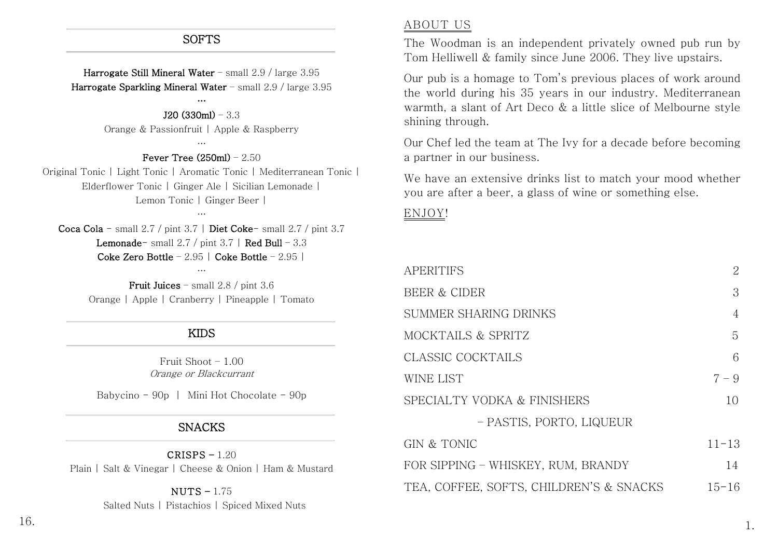### SOFTS

Harrogate Still Mineral Water – small 2.9 / large 3.95 Harrogate Sparkling Mineral Water – small 2.9 / large 3.95

## …

J20 (330ml) – 3.3 Orange & Passionfruit | Apple & Raspberry

### … Fever Tree  $(250ml) - 2.50$

Original Tonic | Light Tonic | Aromatic Tonic | Mediterranean Tonic | Elderflower Tonic | Ginger Ale | Sicilian Lemonade | Lemon Tonic | Ginger Beer |

Coca Cola - small 2.7 / pint 3.7 | Diet Coke- small 2.7 / pint 3.7 **Lemonade-** small  $2.7 / \text{pint } 3.7$  | Red Bull – 3.3 Coke Zero Bottle – 2.95 | Coke Bottle – 2.95 |

…

…

Fruit Juices – small 2.8 / pint 3.6 Orange | Apple | Cranberry | Pineapple | Tomato

### KIDS

Fruit Shoot – 1.00 Orange or Blackcurrant

Babycino -  $90p$  | Mini Hot Chocolate -  $90p$ 

### SNACKS

 $CRISPS - 1.20$ Plain | Salt & Vinegar | Cheese & Onion | Ham & Mustard

### NUTS – 1.75

Salted Nuts | Pistachios | Spiced Mixed Nuts

### ABOUT US

The Woodman is an independent privately owned pub run by Tom Helliwell & family since June 2006. They live upstairs.

Our pub is a homage to Tom's previous places of work around the world during his 35 years in our industry. Mediterranean warmth, a slant of Art Deco & a little slice of Melbourne style shining through.

Our Chef led the team at The Ivy for a decade before becoming a partner in our business.

We have an extensive drinks list to match your mood whether you are after a beer, a glass of wine or something else.

### ENJOY!

| APERITIFS                               | 2              |
|-----------------------------------------|----------------|
| <b>BEER &amp; CIDER</b>                 | 3              |
| SUMMER SHARING DRINKS                   | $\overline{4}$ |
| MOCKTAILS & SPRITZ                      | 5              |
| CLASSIC COCKTAILS                       | 6              |
| WINE LIST                               | $7 - 9$        |
| SPECIALTY VODKA & FINISHERS             | 10             |
| - PASTIS, PORTO, LIQUEUR                |                |
| GIN & TONIC                             | $11 - 13$      |
| FOR SIPPING – WHISKEY, RUM, BRANDY      | 14             |
| TEA, COFFEE, SOFTS, CHILDREN'S & SNACKS | $15 - 16$      |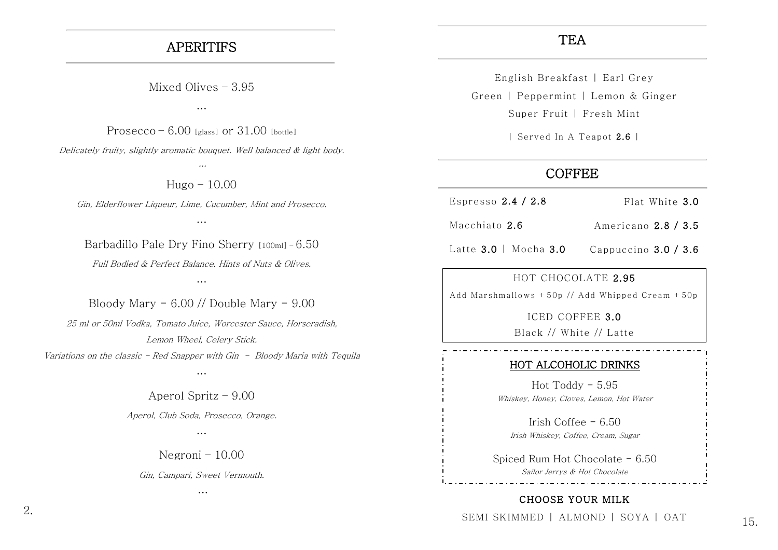## APERITIFS

Mixed Olives – 3.95

…

Prosecco –  $6.00$  [glass] or  $31.00$  [bottle]

Delicately fruity, slightly aromatic bouquet. Well balanced & light body. …

 $Huge - 10.00$ 

Gin, Elderflower Liqueur, Lime, Cucumber, Mint and Prosecco.

…

Barbadillo Pale Dry Fino Sherry [100ml] – 6.50 Full Bodied & Perfect Balance. Hints of Nuts & Olives.

…

Bloody Mary  $-6.00$  // Double Mary  $-9.00$ 25 ml or 50ml Vodka, Tomato Juice, Worcester Sauce, Horseradish, Lemon Wheel, Celery Stick. Variations on the classic - Red Snapper with Gin - Bloody Maria with Tequila

…

Aperol Spritz – 9.00 Aperol, Club Soda, Prosecco, Orange.

…

Negroni – 10.00

Gin, Campari, Sweet Vermouth.

…

## **TEA**

English Breakfast | Earl Grey Green | Peppermint | Lemon & Ginger Super Fruit | Fresh Mint

| Served In A Teapot 2.6 |

## **COFFEE**

- Espresso 2.4 / 2.8 Flat White 3.0
- Macchiato 2.6 Americano 2.8 / 3.5
- Latte 3.0 | Mocha 3.0 Cappuccino 3.0 / 3.6

### HOT CHOCOLATE 2.95

Add Marshmallows +50p // Add Whipped Cream +50p

ICED COFFEE 3.0

### Black // White // Latte

### HOT ALCOHOLIC DRINKS

Hot Toddy - 5.95 Whiskey, Honey, Cloves, Lemon, Hot Water

Irish Coffee  $-6.50$ Irish Whiskey, Coffee, Cream, Sugar

Spiced Rum Hot Chocolate - 6.50 Sailor Jerrys & Hot Chocolate

## CHOOSE YOUR MILK

SEMI SKIMMED | ALMOND | SOYA | OAT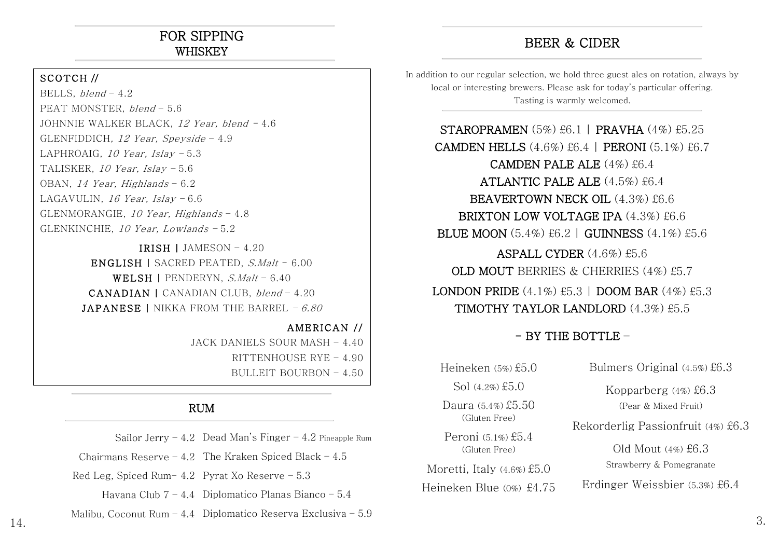# FOR SIPPING WHISKEY

### SCOTCH //

BELLS,  $blend - 4.2$ PEAT MONSTER, blend – 5.6 JOHNNIE WALKER BLACK, 12 Year, blend - 4.6 GLENFIDDICH, 12 Year, Speyside  $-4.9$ LAPHROAIG, 10 Year, Islay – 5.3 TALISKER, 10 Year, Islay – 5.6 OBAN, 14 Year, Highlands – 6.2 LAGAVULIN, 16 Year, Islay  $-6.6$ GLENMORANGIE, 10 Year, Highlands – 4.8 GLENKINCHIE, 10 Year, Lowlands – 5.2

> IRISH | JAMESON – 4.20 ENGLISH | SACRED PEATED, S.Malt - 6.00 WELSH | PENDERYN,  $S. \textit{Malt}$  – 6.40 CANADIAN | CANADIAN CLUB, blend – 4.20 **JAPANESE | NIKKA FROM THE BARREL – 6.80**

> > AMERICAN // JACK DANIELS SOUR MASH – 4.40 RITTENHOUSE RYE – 4.90 BULLEIT BOURBON – 4.50

### RUM

Sailor Jerry – 4.2 Dead Man's Finger – 4.2 Pineapple Rum

Chairmans Reserve  $-4.2$  The Kraken Spiced Black  $-4.5$ 

Red Leg, Spiced Rum- 4.2 Pyrat Xo Reserve – 5.3

Havana Club 7 – 4.4 Diplomatico Planas Bianco – 5.4

 $14.$  Manbu, Coconut Run  $\pm$ ,  $\pm$  Diplomatic Reservation and  $\pm$ . Malibu, Coconut Rum – 4.4 Diplomatico Reserva Exclusiva – 5.9

# BEER & CIDER

In addition to our regular selection, we hold three guest ales on rotation, always by local or interesting brewers. Please ask for today's particular offering. Tasting is warmly welcomed.

STAROPRAMEN (5%) £6.1 | PRAVHA (4%) £5.25 CAMDEN HELLS (4.6%) £6.4 | PERONI (5.1%) £6.7 CAMDEN PALE ALE (4%) £6.4 ATLANTIC PALE ALE (4.5%) £6.4 BEAVERTOWN NECK OIL (4.3%) £6.6 BRIXTON LOW VOLTAGE IPA  $(4.3\%)$  £6.6 BLUE MOON (5.4%) £6.2 | GUINNESS (4.1%) £5.6 ASPALL CYDER (4.6%) £5.6 OLD MOUT BERRIES & CHERRIES (4%) £5.7 LONDON PRIDE  $(4.1\%)$  £5.3 | DOOM BAR  $(4\%)$  £5.3 TIMOTHY TAYLOR LANDLORD (4.3%) £5.5

## $-$  BY THE BOTTLE  $-$

Heineken  $(5\%)$ £5.0 Sol  $(4.2\%)$  £5.0 Daura (5.4%) £5.50 (Gluten Free) Peroni (5.1%) £5.4 (Gluten Free)

Moretti, Italy (4.6%) £5.0 Heineken Blue (0%) £4.75

 Rekorderlig Passionfruit (4%) £6.3 Bulmers Original (4.5%) £6.3 Kopparberg (4%) £6.3 (Pear & Mixed Fruit) Old Mout  $(4\%)$   $E6.3$ Strawberry & Pomegranate Erdinger Weissbier (5.3%) £6.4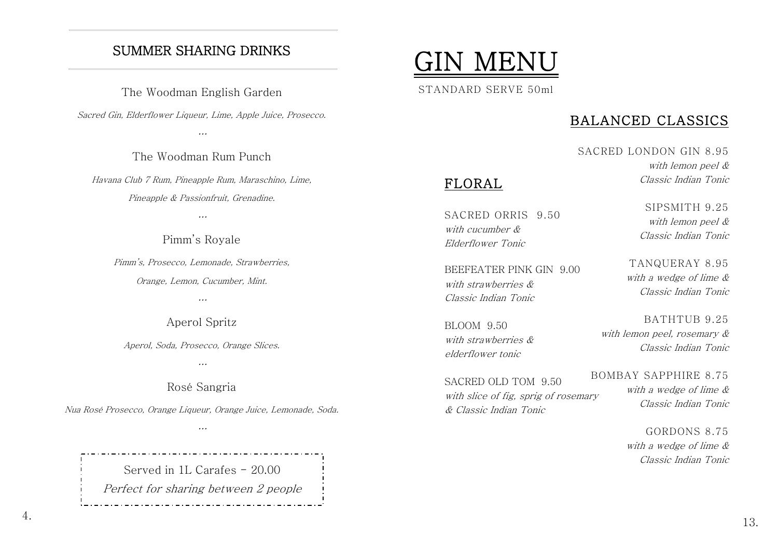# SUMMER SHARING DRINKS

The Woodman English Garden

Sacred Gin, Elderflower Liqueur, Lime, Apple Juice, Prosecco.

…

The Woodman Rum Punch

Havana Club 7 Rum, Pineapple Rum, Maraschino, Lime, Pineapple & Passionfruit, Grenadine.

…

Pimm's Royale

Pimm's, Prosecco, Lemonade, Strawberries, Orange, Lemon, Cucumber, Mint.

…

Aperol Spritz

Aperol, Soda, Prosecco, Orange Slices.

…

Rosé Sangria

Nua Rosé Prosecco, Orange Liqueur, Orange Juice, Lemonade, Soda.

…

Served in 1L Carafes - 20.00 Perfect for sharing between 2 people



FLORAL

## BALANCED CLASSICS

SACRED LONDON GIN 8.95 with lemon peel & Classic Indian Tonic

SACRED ORRIS 9.50 with cucumber & Elderflower Tonic

BEEFEATER PINK GIN 9.00 with strawberries & Classic Indian Tonic

BLOOM 9.50 with strawberries & elderflower tonic

SACRED OLD TOM 9.50 with slice of fig, sprig of rosemary & Classic Indian Tonic

SIPSMITH 9.25 with lemon peel & Classic Indian Tonic

TANQUERAY 8.95 with a wedge of lime & Classic Indian Tonic

BATHTUB 9.25 with lemon peel, rosemary & Classic Indian Tonic

BOMBAY SAPPHIRE 8.75 with a wedge of lime & Classic Indian Tonic

> GORDONS 8.75 with a wedge of lime & Classic Indian Tonic

4.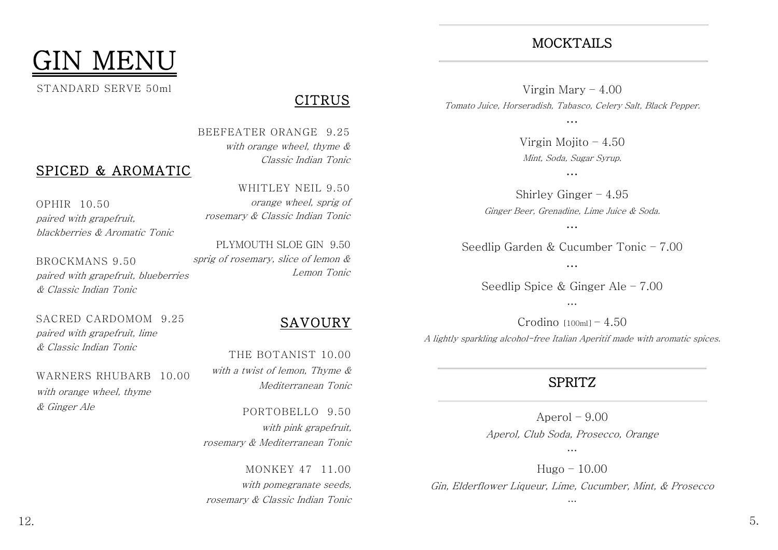

## CITRUS

BEEFEATER ORANGE 9.25 with orange wheel, thyme & Classic Indian Tonic

## OPHIR 10.50 paired with grapefruit, blackberries & Aromatic Tonic

SPICED & AROMATIC

BROCKMANS 9.50 paired with grapefruit, blueberries & Classic Indian Tonic

SACRED CARDOMOM 9.25 paired with grapefruit, lime & Classic Indian Tonic

## WARNERS RHUBARB 10.00 with orange wheel, thyme & Ginger Ale

WHITLEY NEIL 9.50 orange wheel, sprig of rosemary & Classic Indian Tonic

PLYMOUTH SLOE GIN 9.50 sprig of rosemary, slice of lemon & Lemon Tonic

# SAVOURY

THE BOTANIST 10.00 with a twist of lemon, Thyme & Mediterranean Tonic

PORTOBELLO 9.50 with pink grapefruit, rosemary & Mediterranean Tonic

MONKEY 47 11.00 with pomegranate seeds, rosemary & Classic Indian Tonic

# MOCKTAILS

Virgin Mary – 4.00 Tomato Juice, Horseradish, Tabasco, Celery Salt, Black Pepper.

…

Virgin Mojito  $-4.50$ Mint, Soda, Sugar Syrup.

…

Shirley Ginger – 4.95 Ginger Beer, Grenadine, Lime Juice & Soda.

…

Seedlip Garden & Cucumber Tonic – 7.00

…

Seedlip Spice & Ginger Ale – 7.00 …

Crodino  $[100m]$ <sup> $-4.50$ </sup> A lightly sparkling alcohol-free Italian Aperitif made with aromatic spices.

## SPRITZ

Aperol  $-9.00$ Aperol, Club Soda, Prosecco, Orange

…

Hugo – 10.00 Gin, Elderflower Liqueur, Lime, Cucumber, Mint, & Prosecco

…

12. 5.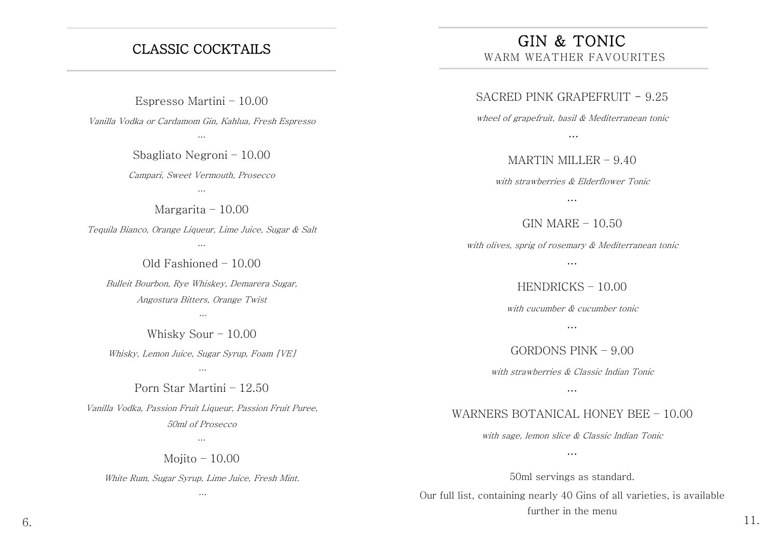# CLASSIC COCKTAILS

Espresso Martini – 10.00 Vanilla Vodka or Cardamom Gin, Kahlua, Fresh Espresso

…

Sbagliato Negroni – 10.00 Campari, Sweet Vermouth, Prosecco

…

Margarita – 10.00 Tequila Bianco, Orange Liqueur, Lime Juice, Sugar & Salt

Old Fashioned – 10.00

…

Bulleit Bourbon, Rye Whiskey, Demarera Sugar, Angostura Bitters, Orange Twist

…

Whisky Sour – 10.00

Whisky, Lemon Juice, Sugar Syrup, Foam [VE] …

Porn Star Martini – 12.50 Vanilla Vodka, Passion Fruit Liqueur, Passion Fruit Puree, 50ml of Prosecco

Mojito – 10.00

…

White Rum, Sugar Syrup, Lime Juice, Fresh Mint. …

GIN & TONIC WARM WEATHER FAVOURITES

SACRED PINK GRAPEFRUIT - 9.25

wheel of grapefruit, basil & Mediterranean tonic

…

MARTIN MILLER – 9.40

with strawberries & Elderflower Tonic

…

 $GIN MARE - 10.50$ 

with olives, sprig of rosemary & Mediterranean tonic

…

HENDRICKS – 10.00

with cucumber & cucumber tonic …

GORDONS PINK – 9.00

with strawberries & Classic Indian Tonic

…

WARNERS BOTANICAL HONEY BEE – 10.00

with sage, lemon slice & Classic Indian Tonic

…

50ml servings as standard. Our full list, containing nearly 40 Gins of all varieties, is available further in the menu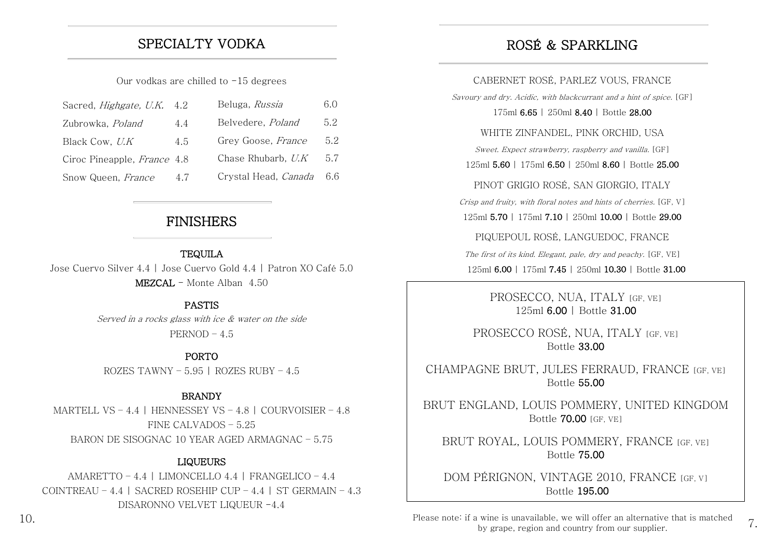## SPECIALTY VODKA

Our vodkas are chilled to  $-15$  degrees

| Sacred, <i>Highgate</i> , U.K. | 4.2 | Beluga, Russia       | 6.0 |
|--------------------------------|-----|----------------------|-----|
| Zubrowka, Poland               | 4.4 | Belvedere, Poland    | 5.2 |
| Black Cow, U.K                 | 4.5 | Grey Goose, France   | 5.2 |
| Ciroc Pineapple, France 4.8    |     | Chase Rhubarb, U.K.  | 5.7 |
| Snow Queen, France             | 4.7 | Crystal Head, Canada | 6.6 |

## FINISHERS

#### **TEQUILA**

Jose Cuervo Silver 4.4 | Jose Cuervo Gold 4.4 | Patron XO Café 5.0 MEZCAL - Monte Alban 4.50

#### PASTIS

Served in a rocks glass with ice & water on the side $PERNOD - 4.5$ 

PORTO ROZES TAWNY –  $5.95$  | ROZES RUBY –  $4.5$ 

#### **BRANDY**

MARTELL VS – 4.4 | HENNESSEY VS – 4.8 | COURVOISIER – 4.8 FINE CALVADOS – 5.25 BARON DE SISOGNAC 10 YEAR AGED ARMAGNAC – 5.75

### LIQUEURS

AMARETTO – 4.4 | LIMONCELLO 4.4 | FRANGELICO – 4.4 COINTREAU – 4.4 | SACRED ROSEHIP CUP – 4.4 | ST GERMAIN – 4.3 DISARONNO VELVET LIQUEUR -4.4

# ROSÉ & SPARKLING

CABERNET ROSÉ, PARLEZ VOUS, FRANCE

Sayoury and dry. Acidic, with blackcurrant and a hint of spice. [GF]

175ml 6.65 | 250ml 8.40 | Bottle 28.00

WHITE ZINFANDEL, PINK ORCHID, USA

Sweet. Expect strawberry, raspberry and vanilla. [GF]

125ml 5.60 | 175ml 6.50 | 250ml 8.60 | Bottle 25.00

PINOT GRIGIO ROSÉ, SAN GIORGIO, ITALY

Crisp and fruity, with floral notes and hints of cherries. [GF, V]

125ml 5.70 | 175ml 7.10 | 250ml 10.00 | Bottle 29.00

PIQUEPOUL ROSÉ, LANGUEDOC, FRANCE

The first of its kind. Elegant, pale, dry and peachy. [GF, VE] 125ml 6.00 | 175ml 7.45 | 250ml 10.30 | Bottle 31.00

> PROSECCO, NUA, ITALY [GF, VE] 125ml 6.00 | Bottle 31.00

PROSECCO ROSÉ, NUA, ITALY [GE, VE] Bottle 33.00

CHAMPAGNE BRUT, JULES FERRAUD, FRANCE [GF, VE] Bottle 55.00

BRUT ENGLAND, LOUIS POMMERY, UNITED KINGDOM Bottle 70.00 [GF, VE]

BRUT ROYAL, LOUIS POMMERY, FRANCE [GF, VE] Bottle 75.00

DOM PÉRIGNON, VINTAGE 2010, FRANCE [GF, V] Bottle 195.00

Please note: if a wine is unavailable, we will offer an alternative that is matched  $\overline{7}$ by grape, region and country from our supplier.